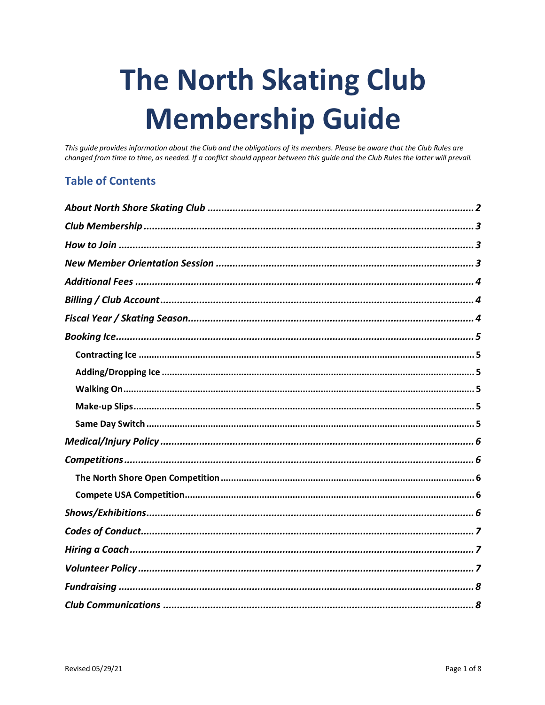# **The North Skating Club Membership Guide**

This guide provides information about the Club and the obligations of its members. Please be aware that the Club Rules are changed from time to time, as needed. If a conflict should appear between this guide and the Club Rules the latter will prevail.

#### **Table of Contents**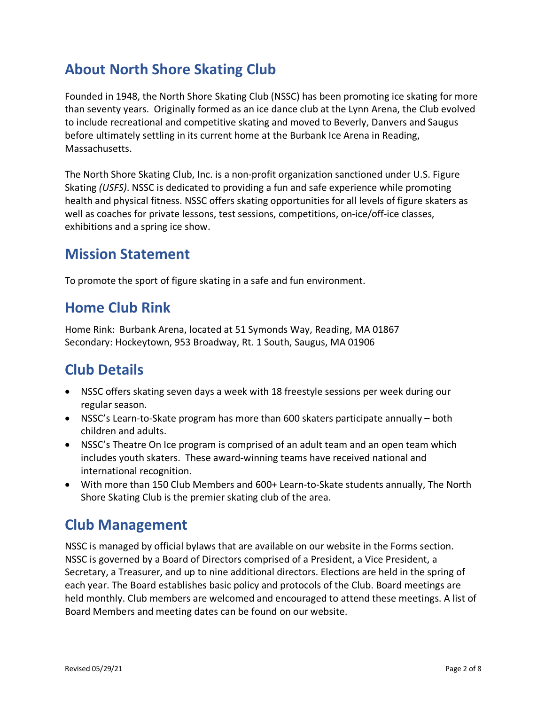## **About North Shore Skating Club**

Founded in 1948, the North Shore Skating Club (NSSC) has been promoting ice skating for more than seventy years. Originally formed as an ice dance club at the Lynn Arena, the Club evolved to include recreational and competitive skating and moved to Beverly, Danvers and Saugus before ultimately settling in its current home at the Burbank Ice Arena in Reading, Massachusetts.

The North Shore Skating Club, Inc. is a non-profit organization sanctioned under U.S. Figure Skating *(USFS)*. NSSC is dedicated to providing a fun and safe experience while promoting health and physical fitness. NSSC offers skating opportunities for all levels of figure skaters as well as coaches for private lessons, test sessions, competitions, on-ice/off-ice classes, exhibitions and a spring ice show.

## **Mission Statement**

To promote the sport of figure skating in a safe and fun environment.

## **Home Club Rink**

Home Rink: Burbank Arena, located at 51 Symonds Way, Reading, MA 01867 Secondary: Hockeytown, 953 Broadway, Rt. 1 South, Saugus, MA 01906

## **Club Details**

- NSSC offers skating seven days a week with 18 freestyle sessions per week during our regular season.
- NSSC's Learn-to-Skate program has more than 600 skaters participate annually both children and adults.
- NSSC's Theatre On Ice program is comprised of an adult team and an open team which includes youth skaters. These award-winning teams have received national and international recognition.
- With more than 150 Club Members and 600+ Learn-to-Skate students annually, The North Shore Skating Club is the premier skating club of the area.

## **Club Management**

NSSC is managed by official bylaws that are available on our website in the Forms section. NSSC is governed by a Board of Directors comprised of a President, a Vice President, a Secretary, a Treasurer, and up to nine additional directors. Elections are held in the spring of each year. The Board establishes basic policy and protocols of the Club. Board meetings are held monthly. Club members are welcomed and encouraged to attend these meetings. A list of Board Members and meeting dates can be found on our website.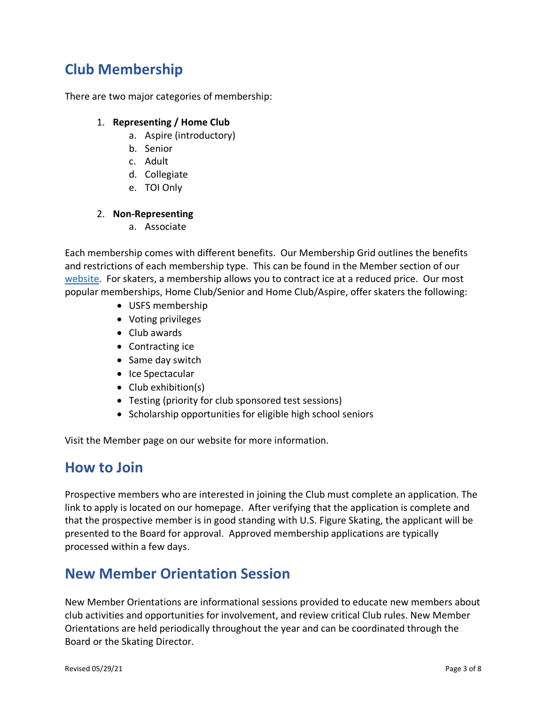## **Club Membership**

There are two major categories of membership:

#### 1. **Representing / Home Club**

- a. Aspire (introductory)
- b. Senior
- c. Adult
- d. Collegiate
- e. TOI Only

#### 2. **Non-Representing**

a. Associate

Each membership comes with different benefits. Our Membership Grid outlines the benefits and restrictions of each membership type. This can be found in the Member section of our website. For skaters, a membership allows you to contract ice at a reduced price. Our most popular memberships, Home Club/Senior and Home Club/Aspire, offer skaters the following:

- USFS membership
- Voting privileges
- Club awards
- Contracting ice
- Same day switch
- Ice Spectacular
- Club exhibition(s)
- Testing (priority for club sponsored test sessions)
- Scholarship opportunities for eligible high school seniors

Visit the Member page on our website for more information.

## **How to Join**

Prospective members who are interested in joining the Club must complete an application. The link to apply is located on our homepage. After verifying that the application is complete and that the prospective member is in good standing with U.S. Figure Skating, the applicant will be presented to the Board for approval. Approved membership applications are typically processed within a few days.

## **New Member Orientation Session**

New Member Orientations are informational sessions provided to educate new members about club activities and opportunities for involvement, and review critical Club rules. New Member Orientations are held periodically throughout the year and can be coordinated through the Board or the Skating Director.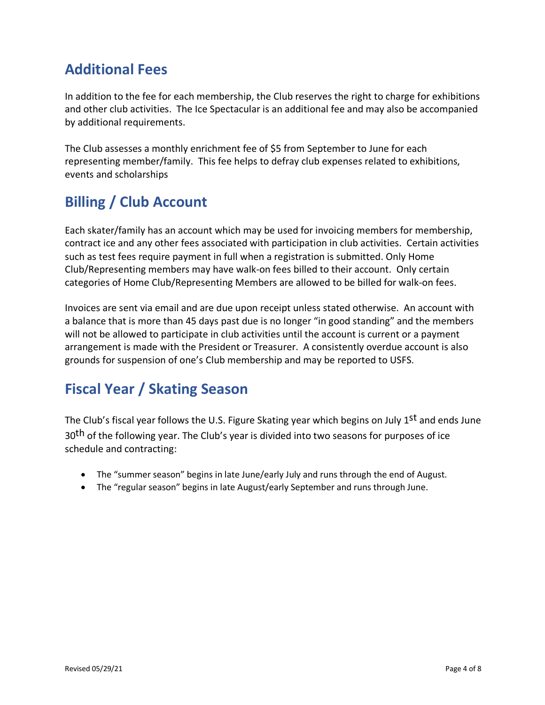## **Additional Fees**

In addition to the fee for each membership, the Club reserves the right to charge for exhibitions and other club activities. The Ice Spectacular is an additional fee and may also be accompanied by additional requirements.

The Club assesses a monthly enrichment fee of \$5 from September to June for each representing member/family. This fee helps to defray club expenses related to exhibitions, events and scholarships

# **Billing / Club Account**

Each skater/family has an account which may be used for invoicing members for membership, contract ice and any other fees associated with participation in club activities. Certain activities such as test fees require payment in full when a registration is submitted. Only Home Club/Representing members may have walk-on fees billed to their account. Only certain categories of Home Club/Representing Members are allowed to be billed for walk-on fees.

Invoices are sent via email and are due upon receipt unless stated otherwise. An account with a balance that is more than 45 days past due is no longer "in good standing" and the members will not be allowed to participate in club activities until the account is current or a payment arrangement is made with the President or Treasurer. A consistently overdue account is also grounds for suspension of one's Club membership and may be reported to USFS.

# **Fiscal Year / Skating Season**

The Club's fiscal year follows the U.S. Figure Skating year which begins on July 1<sup>st</sup> and ends June 30<sup>th</sup> of the following year. The Club's year is divided into two seasons for purposes of ice schedule and contracting:

- The "summer season" begins in late June/early July and runs through the end of August.
- The "regular season" begins in late August/early September and runs through June.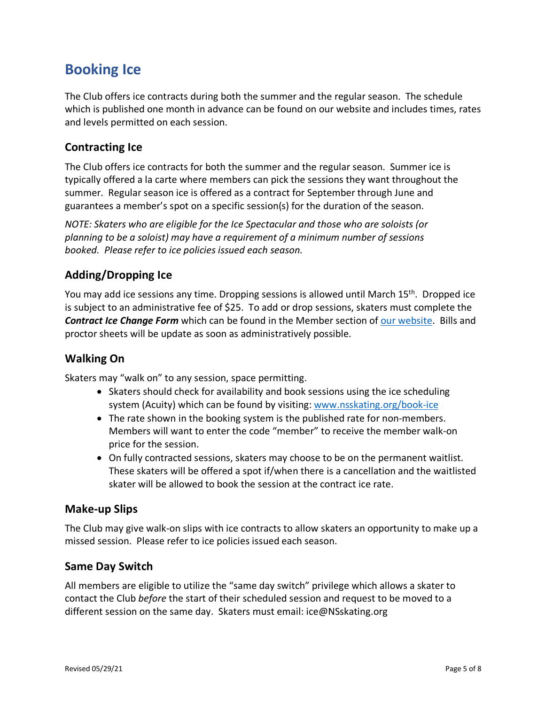## **Booking Ice**

The Club offers ice contracts during both the summer and the regular season. The schedule which is published one month in advance can be found on our website and includes times, rates and levels permitted on each session.

#### **Contracting Ice**

The Club offers ice contracts for both the summer and the regular season. Summer ice is typically offered a la carte where members can pick the sessions they want throughout the summer. Regular season ice is offered as a contract for September through June and guarantees a member's spot on a specific session(s) for the duration of the season.

*NOTE: Skaters who are eligible for the Ice Spectacular and those who are soloists (or planning to be a soloist) may have a requirement of a minimum number of sessions booked. Please refer to ice policies issued each season.*

## **Adding/Dropping Ice**

You may add ice sessions any time. Dropping sessions is allowed until March 15th. Dropped ice is subject to an administrative fee of \$25. To add or drop sessions, skaters must complete the *Contract Ice Change Form* which can be found in the Member section of our website. Bills and proctor sheets will be update as soon as administratively possible.

## **Walking On**

Skaters may "walk on" to any session, space permitting.

- Skaters should check for availability and book sessions using the ice scheduling system (Acuity) which can be found by visiting: www.nsskating.org/book-ice
- The rate shown in the booking system is the published rate for non-members. Members will want to enter the code "member" to receive the member walk-on price for the session.
- On fully contracted sessions, skaters may choose to be on the permanent waitlist. These skaters will be offered a spot if/when there is a cancellation and the waitlisted skater will be allowed to book the session at the contract ice rate.

#### **Make-up Slips**

The Club may give walk-on slips with ice contracts to allow skaters an opportunity to make up a missed session. Please refer to ice policies issued each season.

#### **Same Day Switch**

All members are eligible to utilize the "same day switch" privilege which allows a skater to contact the Club *before* the start of their scheduled session and request to be moved to a different session on the same day. Skaters must email: ice@NSskating.org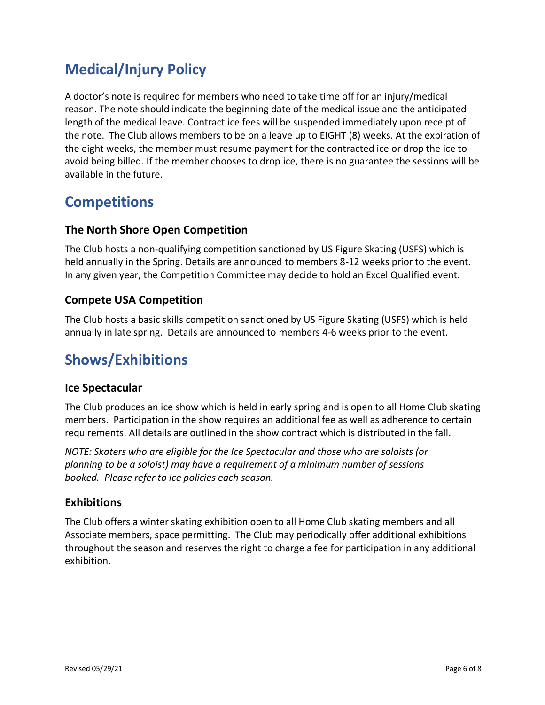# **Medical/Injury Policy**

A doctor's note is required for members who need to take time off for an injury/medical reason. The note should indicate the beginning date of the medical issue and the anticipated length of the medical leave. Contract ice fees will be suspended immediately upon receipt of the note. The Club allows members to be on a leave up to EIGHT (8) weeks. At the expiration of the eight weeks, the member must resume payment for the contracted ice or drop the ice to avoid being billed. If the member chooses to drop ice, there is no guarantee the sessions will be available in the future.

## **Competitions**

#### **The North Shore Open Competition**

The Club hosts a non-qualifying competition sanctioned by US Figure Skating (USFS) which is held annually in the Spring. Details are announced to members 8-12 weeks prior to the event. In any given year, the Competition Committee may decide to hold an Excel Qualified event.

#### **Compete USA Competition**

The Club hosts a basic skills competition sanctioned by US Figure Skating (USFS) which is held annually in late spring. Details are announced to members 4-6 weeks prior to the event.

## **Shows/Exhibitions**

#### **Ice Spectacular**

The Club produces an ice show which is held in early spring and is open to all Home Club skating members. Participation in the show requires an additional fee as well as adherence to certain requirements. All details are outlined in the show contract which is distributed in the fall.

*NOTE: Skaters who are eligible for the Ice Spectacular and those who are soloists (or planning to be a soloist) may have a requirement of a minimum number of sessions booked. Please refer to ice policies each season.*

#### **Exhibitions**

The Club offers a winter skating exhibition open to all Home Club skating members and all Associate members, space permitting. The Club may periodically offer additional exhibitions throughout the season and reserves the right to charge a fee for participation in any additional exhibition.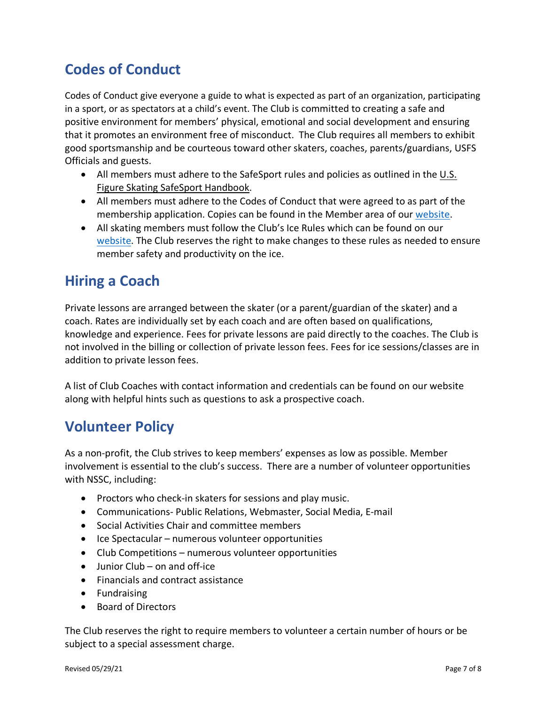# **Codes of Conduct**

Codes of Conduct give everyone a guide to what is expected as part of an organization, participating in a sport, or as spectators at a child's event. The Club is committed to creating a safe and positive environment for members' physical, emotional and social development and ensuring that it promotes an environment free of misconduct. The Club requires all members to exhibit good sportsmanship and be courteous toward other skaters, coaches, parents/guardians, USFS Officials and guests.

- All members must adhere to the SafeSport rules and policies as outlined in the  $\underline{\mathsf{U.S.}}$ Figure Skating SafeSport Handbook.
- All members must adhere to the Codes of Conduct that were agreed to as part of the membership application. Copies can be found in the Member area of our website.
- All skating members must follow the Club's Ice Rules which can be found on our website. The Club reserves the right to make changes to these rules as needed to ensure member safety and productivity on the ice.

## **Hiring a Coach**

Private lessons are arranged between the skater (or a parent/guardian of the skater) and a coach. Rates are individually set by each coach and are often based on qualifications, knowledge and experience. Fees for private lessons are paid directly to the coaches. The Club is not involved in the billing or collection of private lesson fees. Fees for ice sessions/classes are in addition to private lesson fees.

A list of Club Coaches with contact information and credentials can be found on our website along with helpful hints such as questions to ask a prospective coach.

## **Volunteer Policy**

As a non-profit, the Club strives to keep members' expenses as low as possible. Member involvement is essential to the club's success. There are a number of volunteer opportunities with NSSC, including:

- Proctors who check-in skaters for sessions and play music.
- Communications- Public Relations, Webmaster, Social Media, E-mail
- Social Activities Chair and committee members
- Ice Spectacular numerous volunteer opportunities
- Club Competitions numerous volunteer opportunities
- Junior Club on and off-ice
- Financials and contract assistance
- Fundraising
- Board of Directors

The Club reserves the right to require members to volunteer a certain number of hours or be subject to a special assessment charge.